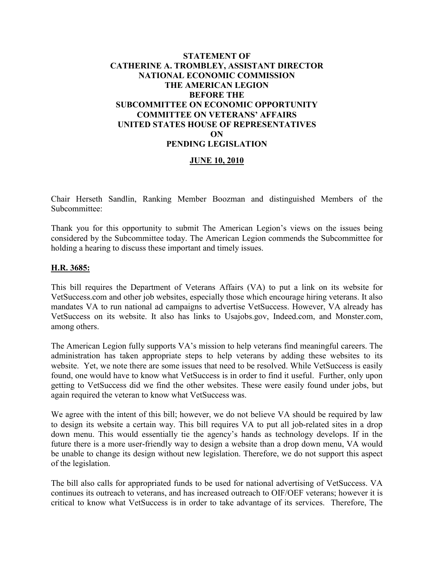# **STATEMENT OF CATHERINE A. TROMBLEY, ASSISTANT DIRECTOR NATIONAL ECONOMIC COMMISSION THE AMERICAN LEGION BEFORE THE SUBCOMMITTEE ON ECONOMIC OPPORTUNITY COMMITTEE ON VETERANS' AFFAIRS UNITED STATES HOUSE OF REPRESENTATIVES ON PENDING LEGISLATION**

## **JUNE 10, 2010**

Chair Herseth Sandlin, Ranking Member Boozman and distinguished Members of the Subcommittee:

Thank you for this opportunity to submit The American Legion's views on the issues being considered by the Subcommittee today. The American Legion commends the Subcommittee for holding a hearing to discuss these important and timely issues.

### **H.R. 3685:**

This bill requires the Department of Veterans Affairs (VA) to put a link on its website for VetSuccess.com and other job websites, especially those which encourage hiring veterans. It also mandates VA to run national ad campaigns to advertise VetSuccess. However, VA already has VetSuccess on its website. It also has links to Usajobs.gov, Indeed.com, and Monster.com, among others.

The American Legion fully supports VA's mission to help veterans find meaningful careers. The administration has taken appropriate steps to help veterans by adding these websites to its website. Yet, we note there are some issues that need to be resolved. While VetSuccess is easily found, one would have to know what VetSuccess is in order to find it useful. Further, only upon getting to VetSuccess did we find the other websites. These were easily found under jobs, but again required the veteran to know what VetSuccess was.

We agree with the intent of this bill; however, we do not believe VA should be required by law to design its website a certain way. This bill requires VA to put all job-related sites in a drop down menu. This would essentially tie the agency's hands as technology develops. If in the future there is a more user-friendly way to design a website than a drop down menu, VA would be unable to change its design without new legislation. Therefore, we do not support this aspect of the legislation.

The bill also calls for appropriated funds to be used for national advertising of VetSuccess. VA continues its outreach to veterans, and has increased outreach to OIF/OEF veterans; however it is critical to know what VetSuccess is in order to take advantage of its services. Therefore, The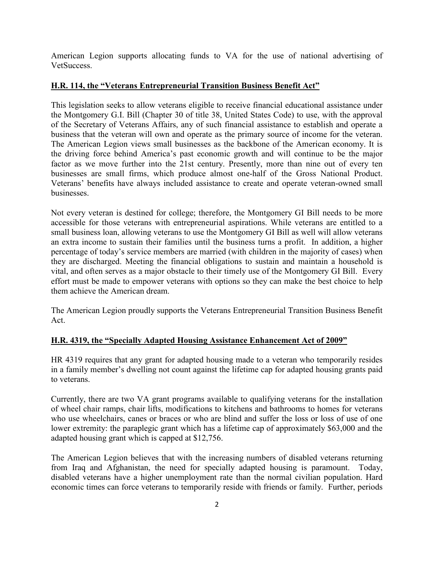American Legion supports allocating funds to VA for the use of national advertising of **VetSuccess** 

# **H.R. 114, the "Veterans Entrepreneurial Transition Business Benefit Act"**

This legislation seeks to allow veterans eligible to receive financial educational assistance under the Montgomery G.I. Bill (Chapter 30 of title 38, United States Code) to use, with the approval of the Secretary of Veterans Affairs, any of such financial assistance to establish and operate a business that the veteran will own and operate as the primary source of income for the veteran. The American Legion views small businesses as the backbone of the American economy. It is the driving force behind America's past economic growth and will continue to be the major factor as we move further into the 21st century. Presently, more than nine out of every ten businesses are small firms, which produce almost one-half of the Gross National Product. Veterans' benefits have always included assistance to create and operate veteran-owned small businesses.

Not every veteran is destined for college; therefore, the Montgomery GI Bill needs to be more accessible for those veterans with entrepreneurial aspirations. While veterans are entitled to a small business loan, allowing veterans to use the Montgomery GI Bill as well will allow veterans an extra income to sustain their families until the business turns a profit. In addition, a higher percentage of today's service members are married (with children in the majority of cases) when they are discharged. Meeting the financial obligations to sustain and maintain a household is vital, and often serves as a major obstacle to their timely use of the Montgomery GI Bill. Every effort must be made to empower veterans with options so they can make the best choice to help them achieve the American dream.

The American Legion proudly supports the Veterans Entrepreneurial Transition Business Benefit Act.

# **H.R. 4319, the "Specially Adapted Housing Assistance Enhancement Act of 2009"**

HR 4319 requires that any grant for adapted housing made to a veteran who temporarily resides in a family member's dwelling not count against the lifetime cap for adapted housing grants paid to veterans.

Currently, there are two VA grant programs available to qualifying veterans for the installation of wheel chair ramps, chair lifts, modifications to kitchens and bathrooms to homes for veterans who use wheelchairs, canes or braces or who are blind and suffer the loss or loss of use of one lower extremity: the paraplegic grant which has a lifetime cap of approximately \$63,000 and the adapted housing grant which is capped at \$12,756.

The American Legion believes that with the increasing numbers of disabled veterans returning from Iraq and Afghanistan, the need for specially adapted housing is paramount. Today, disabled veterans have a higher unemployment rate than the normal civilian population. Hard economic times can force veterans to temporarily reside with friends or family. Further, periods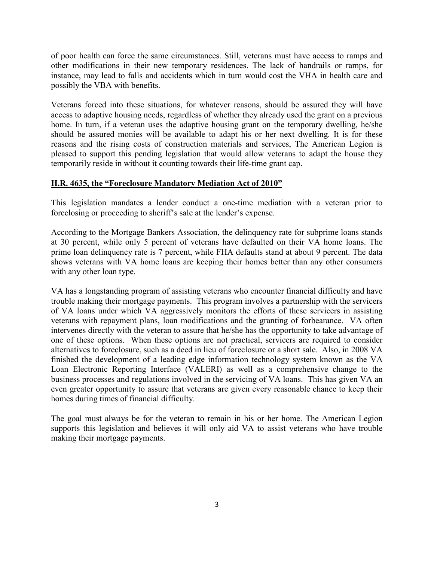of poor health can force the same circumstances. Still, veterans must have access to ramps and other modifications in their new temporary residences. The lack of handrails or ramps, for instance, may lead to falls and accidents which in turn would cost the VHA in health care and possibly the VBA with benefits.

Veterans forced into these situations, for whatever reasons, should be assured they will have access to adaptive housing needs, regardless of whether they already used the grant on a previous home. In turn, if a veteran uses the adaptive housing grant on the temporary dwelling, he/she should be assured monies will be available to adapt his or her next dwelling. It is for these reasons and the rising costs of construction materials and services, The American Legion is pleased to support this pending legislation that would allow veterans to adapt the house they temporarily reside in without it counting towards their life-time grant cap.

## **H.R. 4635, the "Foreclosure Mandatory Mediation Act of 2010"**

This legislation mandates a lender conduct a one-time mediation with a veteran prior to foreclosing or proceeding to sheriff's sale at the lender's expense.

According to the Mortgage Bankers Association, the delinquency rate for subprime loans stands at 30 percent, while only 5 percent of veterans have defaulted on their VA home loans. The prime loan delinquency rate is 7 percent, while FHA defaults stand at about 9 percent. The data shows veterans with VA home loans are keeping their homes better than any other consumers with any other loan type.

VA has a longstanding program of assisting veterans who encounter financial difficulty and have trouble making their mortgage payments. This program involves a partnership with the servicers of VA loans under which VA aggressively monitors the efforts of these servicers in assisting veterans with repayment plans, loan modifications and the granting of forbearance. VA often intervenes directly with the veteran to assure that he/she has the opportunity to take advantage of one of these options. When these options are not practical, servicers are required to consider alternatives to foreclosure, such as a deed in lieu of foreclosure or a short sale. Also, in 2008 VA finished the development of a leading edge information technology system known as the VA Loan Electronic Reporting Interface (VALERI) as well as a comprehensive change to the business processes and regulations involved in the servicing of VA loans. This has given VA an even greater opportunity to assure that veterans are given every reasonable chance to keep their homes during times of financial difficulty.

The goal must always be for the veteran to remain in his or her home. The American Legion supports this legislation and believes it will only aid VA to assist veterans who have trouble making their mortgage payments.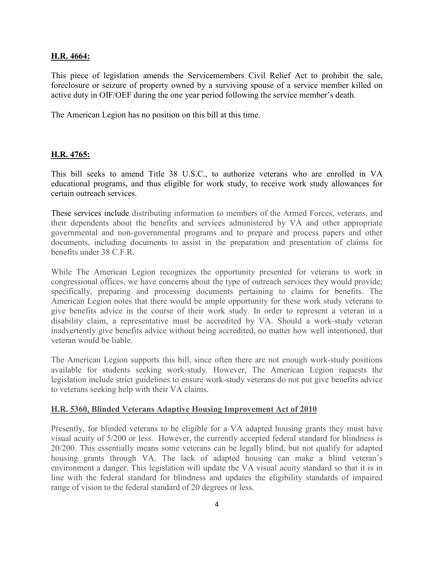### **H.R. 4664:**

This piece of legislation amends the Servicemembers Civil Relief Act to prohibit the sale, foreclosure or seizure of property owned by a surviving spouse of a service member killed on active duty in OIF/OEF during the one year period following the service member's death.

The American Legion has no position on this bill at this time.

## **H.R. 4765:**

This bill seeks to amend Title 38 U.S.C., to authorize veterans who are enrolled in VA educational programs, and thus eligible for work study, to receive work study allowances for certain outreach services.

These services include distributing information to members of the Armed Forces, veterans, and their dependents about the benefits and services administered by VA and other appropriate governmental and non-governmental programs and to prepare and process papers and other documents, including documents to assist in the preparation and presentation of claims for benefits under 38 C.F.R.

While The American Legion recognizes the opportunity presented for veterans to work in congressional offices, we have concerns about the type of outreach services they would provide; specifically, preparing and processing documents pertaining to claims for benefits. The American Legion notes that there would be ample opportunity for these work study veterans to give benefits advice in the course of their work study. In order to represent a veteran in a disability claim, a representative must be accredited by VA. Should a work-study veteran inadvertently give benefits advice without being accredited, no matter how well intentioned, that veteran would be liable.

The American Legion supports this bill, since often there are not enough work-study positions available for students seeking work-study. However, The American Legion requests the legislation include strict guidelines to ensure work-study veterans do not put give benefits advice to veterans seeking help with their VA claims.

#### **H.R. 5360, Blinded Veterans Adaptive Housing Improvement Act of 2010**

Presently, for blinded veterans to be eligible for a VA adapted housing grants they must have visual acuity of 5/200 or less. However, the currently accepted federal standard for blindness is 20/200. This essentially means some veterans can be legally blind, but not qualify for adapted housing grants through VA. The lack of adapted housing can make a blind veteran's environment a danger. This legislation will update the VA visual acuity standard so that it is in line with the federal standard for blindness and updates the eligibility standards of impaired range of vision to the federal standard of 20 degrees or less.